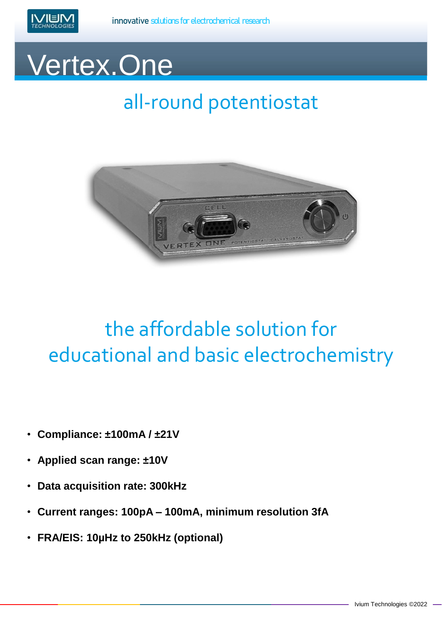

## Vertex.One

## all-round potentiostat



## the affordable solution for educational and basic electrochemistry

- **Compliance: ±100mA / ±21V**
- **Applied scan range: ±10V**
- **Data acquisition rate: 300kHz**
- **Current ranges: 100pA – 100mA, minimum resolution 3fA**
- **FRA/EIS: 10µHz to 250kHz (optional)**